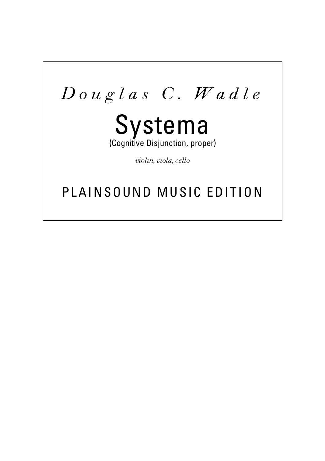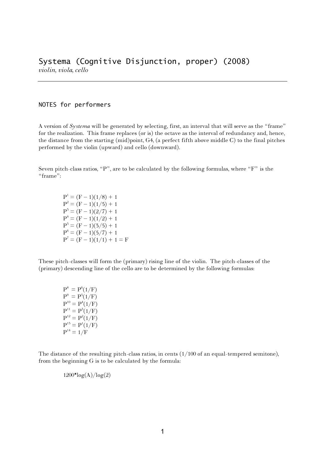## NOTES for performers

A version of *Systema* will be generated by selecting, first, an interval that will serve as the "frame" for the realization. This frame replaces (or is) the octave as the interval of redundancy and, hence, the distance from the starting (mid)point, G4, (a perfect fifth above middle C) to the final pitches performed by the violin (upward) and cello (downward).

Seven pitch-class ratios, "P", are to be calculated by the following formulas, where "F" is the "frame":

> $P^1 = (F - 1)(1/8) + 1$  $P^{2} = (F - 1)(1/5) + 1$  $P^5 = (F - 1)(2/7) + 1$  $P^4 = (F - 1)(1/2) + 1$  $P^5 = (F - 1)(3/5) + 1$  $P^6 = (F - 1)(5/7) + 1$  $P<sup>7</sup> = (F - 1)(1/1) + 1 = F$

These pitch-classes will form the (primary) rising line of the violin. The pitch-classes of the (primary) descending line of the cello are to be determined by the following formulas:

> $P^8 = P^6(1/F)$  $P^9 = P^5(1/F)$  $P^{10} = P^{4}(1/F)$  $P^{11} = P^{5}(1/F)$  $P^{12} = P^2(1/F)$  $P^{15} = P^{1}(1/F)$  $P^{14} = 1/F$

The distance of the resulting pitch-class ratios, in cents  $(1/100)$  of an equal-tempered semitone), from the beginning G is to be calculated by the formula:

 $1200*log(A)/log(2)$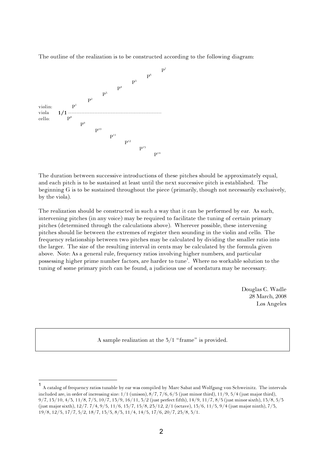The outline of the realization is to be constructed according to the following diagram:



The duration between successive introductions of these pitches should be approximately equal, and each pitch is to be sustained at least until the next successive pitch is established. The beginning G is to be sustained throughout the piece (primarily, though not necessarily exclusively, by the viola).

The realization should be constructed in such a way that it can be performed by ear. As such, intervening pitches (in any voice) may be required to facilitate the tuning of certain primary pitches (determined through the calculations above). Wherever possible, these intervening pitches should lie between the extremes of register then sounding in the violin and cello. The frequency relationship between two pitches may be calculated by dividing the smaller ratio into the larger. The size of the resulting interval in cents may be calculated by the formula given above. Note: As a general rule, frequency ratios involving higher numbers, and particular possessing higher prime number factors, are harder to tune 1 . Where no workable solution to the tuning of some primary pitch can be found, a judicious use of scordatura may be necessary.

> Douglas C. Wadle 28 March, 2008 Los Angeles

A sample realization at the 3/1 "frame" is provided.

 <sup>1</sup> <sup>A</sup> catalog of frequency ratios tunable by ear was compiled by Marc Sabat and Wolfgang von Schweinitz. The intervals included are, in order of increasing size:  $1/1$  (unison),  $8/7$ ,  $7/6$ ,  $6/5$  (just minor third),  $11/9$ ,  $5/4$  (just major third), 9/7, 13/10, 4/3, 11/8, 7/5, 10/7, 13/9, 16/11, 3/2 (just perfect fifth), 14/9, 11/7, 8/5 (just minor sixth), 13/8, 5/3 (just major sixth), 12/7. 7/4, 9/5, 11/6, 13/7, 15/8, 23/12, 2/1 (octave), 13/6, 11/5, 9/4 (just major ninth), 7/3, 19/8, 12/5, 17/7, 5/2, 18/7, 13/5, 8/3, 11/4, 14/5, 17/6, 20/7, 23/8, 3/1.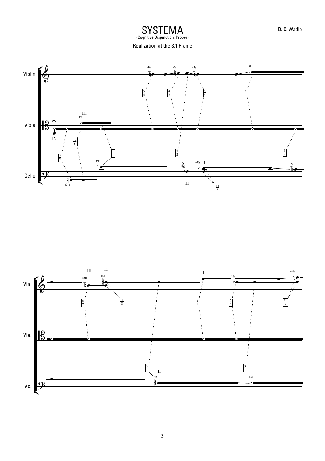SYSTEMA D. C. Wadle<br>(Cognitive Disjunction, Proper)

Realization at the 3:1 Frame